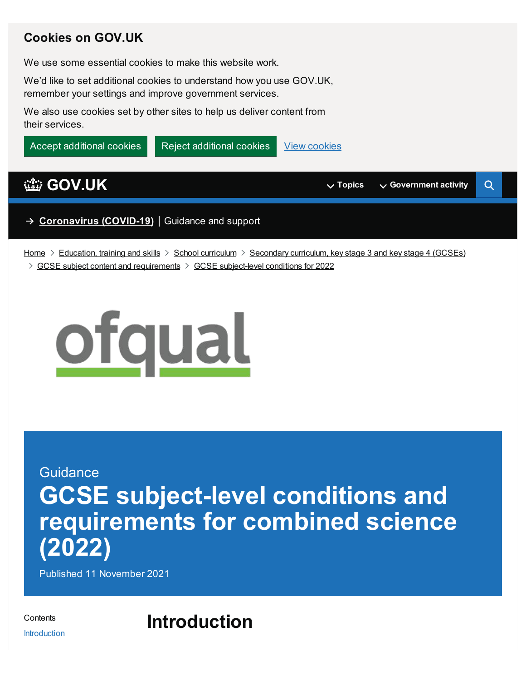### **Cookies on GOV.UK**

We use some essential cookies to make this website work.

We'd like to set additional cookies to understand how you use GOV.UK, remember your settings and improve government services.

We also use cookies set by other sites to help us deliver content from their services.



[Home](https://www.gov.uk/)  $\geq$  [Education,](https://www.gov.uk/education) training and skills  $\geq$  School [curriculum](https://www.gov.uk/education/school-curriculum)  $\geq$  [Secondary](https://www.gov.uk/education/secondary-curriculum-key-stage-3-and-key-stage-4-gcses) curriculum, key stage 3 and key stage 4 (GCSEs)  $\ge$  GCSE subject content and [requirements](https://www.gov.uk/education/gcse-subject-content-and-requirements)  $\ge$  GCSE [subject-level](https://www.gov.uk/government/publications/gcse-subject-level-conditions-for-2022) conditions for 2022



# **Guidance GCSE subject-level conditions and requirements for combined science (2022)**

Published 11 November 2021

<span id="page-0-1"></span>**Contents** [Introduction](#page-0-0) <span id="page-0-0"></span>**Introduction**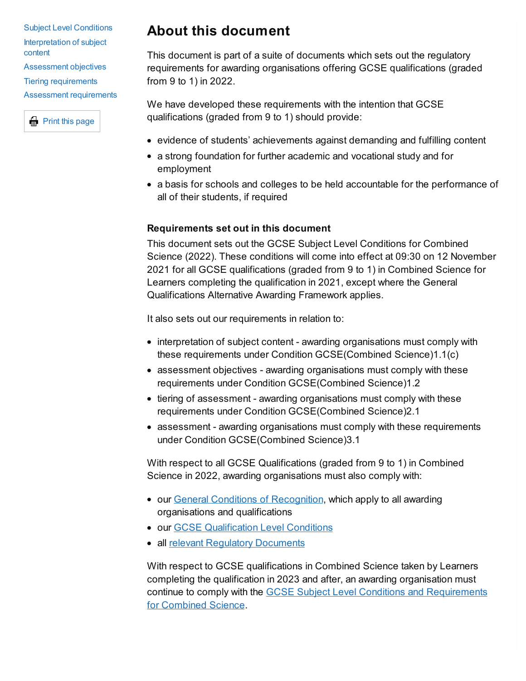Subject Level Conditions [Interpretation](#page-3-0) of subject content [Assessment](#page-5-0) objectives Tiering [requirements](#page-6-0) Assessment [requirements](#page-8-0)



## **About this document**

This document is part of a suite of documents which sets out the regulatory requirements for awarding organisations offering GCSE qualifications (graded from 9 to 1) in 2022.

We have developed these requirements with the intention that GCSE qualifications (graded from 9 to 1) should provide:

- evidence of students' achievements against demanding and fulfilling content
- a strong foundation for further academic and vocational study and for employment
- a basis for schools and colleges to be held accountable for the performance of all of their students, if required

### **Requirements set out in this document**

This document sets out the GCSE Subject Level Conditions for Combined Science (2022). These conditions will come into effect at 09:30 on 12 November 2021 for all GCSE qualifications (graded from 9 to 1) in Combined Science for Learners completing the qualification in 2021, except where the General Qualifications Alternative Awarding Framework applies.

It also sets out our requirements in relation to:

- interpretation of subject content awarding organisations must comply with these requirements under Condition GCSE(Combined Science)1.1(c)
- assessment objectives awarding organisations must comply with these requirements under Condition GCSE(Combined Science)1.2
- tiering of assessment awarding organisations must comply with these requirements under Condition GCSE(Combined Science)2.1
- assessment awarding organisations must comply with these requirements under Condition GCSE(Combined Science)3.1

With respect to all GCSE Qualifications (graded from 9 to 1) in Combined Science in 2022, awarding organisations must also comply with:

- our General Conditions of [Recognition](https://www.gov.uk/government/publications/general-conditions-of-recognition), which apply to all awarding organisations and qualifications
- **our GCSE [Qualification](https://www.gov.uk/government/publications/gcse-9-to-1-qualification-level-conditions) Level Conditions**
- all relevant Requiatory [Documents](https://www.gov.uk/government/publications/regulatory-documents-list)

With respect to GCSE qualifications in Combined Science taken by Learners completing the qualification in 2023 and after, an awarding organisation must continue to comply with the GCSE Subject Level Conditions and [Requirements](https://www.gov.uk/government/publications/gcse-9-to-1-subject-level-conditions-and-requirements-for-combined-science) for Combined Science.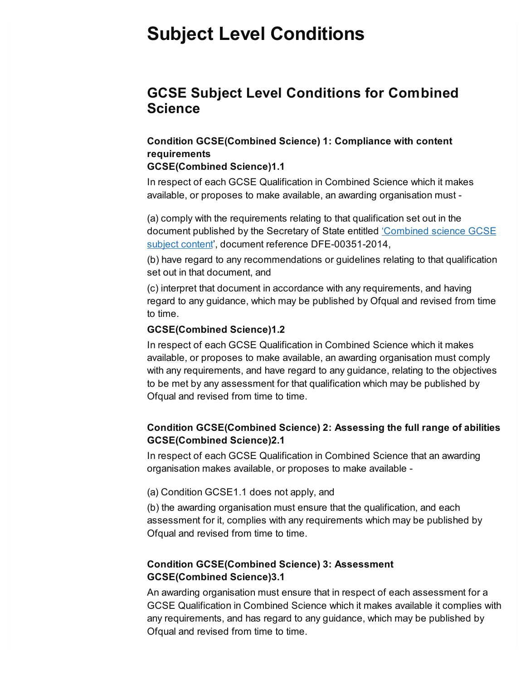## **Subject Level Conditions**

### **GCSE Subject Level Conditions for Combined Science**

### **Condition GCSE(Combined Science) 1: Compliance with content requirements**

### **GCSE(Combined Science)1.1**

In respect of each GCSE Qualification in Combined Science which it makes available, or proposes to make available, an awarding organisation must -

(a) comply with the requirements relating to that qualification set out in the document published by the Secretary of State entitled 'Combined science GCSE subject content', document reference [DFE-00351-2014,](https://webarchive.nationalarchives.gov.uk/ukgwa/20210903025507/https:/www.gov.uk/government/publications/gcse-combined-science)

(b) have regard to any recommendations or guidelines relating to that qualification set out in that document, and

(c) interpret that document in accordance with any requirements, and having regard to any guidance, which may be published by Ofqual and revised from time to time.

### **GCSE(Combined Science)1.2**

In respect of each GCSE Qualification in Combined Science which it makes available, or proposes to make available, an awarding organisation must comply with any requirements, and have regard to any guidance, relating to the objectives to be met by any assessment for that qualification which may be published by Ofqual and revised from time to time.

### **Condition GCSE(Combined Science) 2: Assessing the full range of abilities GCSE(Combined Science)2.1**

In respect of each GCSE Qualification in Combined Science that an awarding organisation makes available, or proposes to make available -

(a) Condition GCSE1.1 does not apply, and

(b) the awarding organisation must ensure that the qualification, and each assessment for it, complies with any requirements which may be published by Ofqual and revised from time to time.

### **Condition GCSE(Combined Science) 3: Assessment GCSE(Combined Science)3.1**

An awarding organisation must ensure that in respect of each assessment for a GCSE Qualification in Combined Science which it makes available it complies with any requirements, and has regard to any guidance, which may be published by Ofqual and revised from time to time.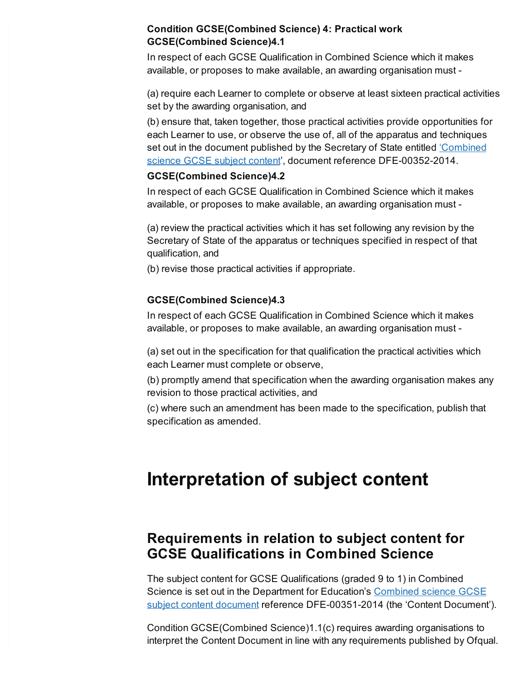### **Condition GCSE(Combined Science) 4: Practical work GCSE(Combined Science)4.1**

In respect of each GCSE Qualification in Combined Science which it makes available, or proposes to make available, an awarding organisation must -

(a) require each Learner to complete or observe at least sixteen practical activities set by the awarding organisation, and

(b) ensure that, taken together, those practical activities provide opportunities for each Learner to use, or observe the use of, all of the apparatus and techniques set out in the document published by the Secretary of State entitled 'Combined science GCSE subject content', document reference [DFE-00352-2014.](https://webarchive.nationalarchives.gov.uk/ukgwa/20210903025507/https:/www.gov.uk/government/publications/gcse-combined-science)

### **GCSE(Combined Science)4.2**

In respect of each GCSE Qualification in Combined Science which it makes available, or proposes to make available, an awarding organisation must -

(a) review the practical activities which it has set following any revision by the Secretary of State of the apparatus or techniques specified in respect of that qualification, and

(b) revise those practical activities if appropriate.

### **GCSE(Combined Science)4.3**

In respect of each GCSE Qualification in Combined Science which it makes available, or proposes to make available, an awarding organisation must -

(a) set out in the specification for that qualification the practical activities which each Learner must complete or observe,

(b) promptly amend that specification when the awarding organisation makes any revision to those practical activities, and

(c) where such an amendment has been made to the specification, publish that specification as amended.

## <span id="page-3-0"></span>**Interpretation of subject content**

## **Requirements in relation to subject content for GCSE Qualifications in Combined Science**

The subject content for GCSE Qualifications (graded 9 to 1) in Combined Science is set out in the Department for Education's Combined science GCSE subject content document reference [DFE-00351-2014](https://webarchive.nationalarchives.gov.uk/ukgwa/20210903025507/https:/www.gov.uk/government/publications/gcse-combined-science) (the 'Content Document').

Condition GCSE(Combined Science)1.1(c) requires awarding organisations to interpret the Content Document in line with any requirements published by Ofqual.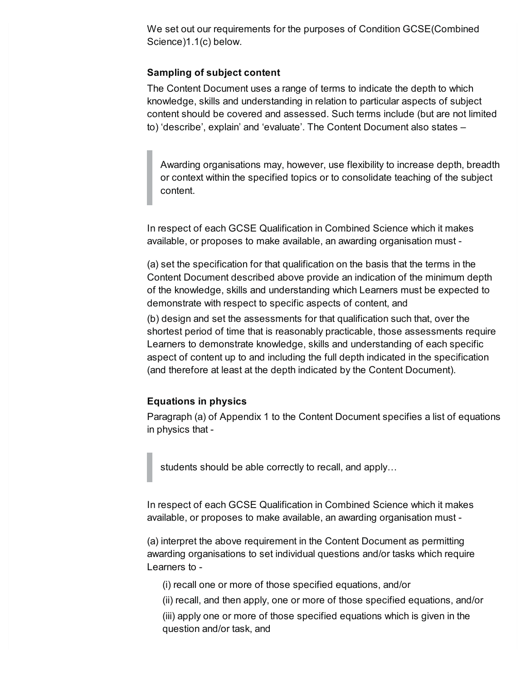We set out our requirements for the purposes of Condition GCSE(Combined Science)1.1(c) below.

### **Sampling of subject content**

The Content Document uses a range of terms to indicate the depth to which knowledge, skills and understanding in relation to particular aspects of subject content should be covered and assessed. Such terms include (but are not limited to) 'describe', explain' and 'evaluate'. The Content Document also states –

Awarding organisations may, however, use flexibility to increase depth, breadth or context within the specified topics or to consolidate teaching of the subject content.

In respect of each GCSE Qualification in Combined Science which it makes available, or proposes to make available, an awarding organisation must -

(a) set the specification for that qualification on the basis that the terms in the Content Document described above provide an indication of the minimum depth of the knowledge, skills and understanding which Learners must be expected to demonstrate with respect to specific aspects of content, and

(b) design and set the assessments for that qualification such that, over the shortest period of time that is reasonably practicable, those assessments require Learners to demonstrate knowledge, skills and understanding of each specific aspect of content up to and including the full depth indicated in the specification (and therefore at least at the depth indicated by the Content Document).

### **Equations in physics**

Paragraph (a) of Appendix 1 to the Content Document specifies a list of equations in physics that -

students should be able correctly to recall, and apply…

In respect of each GCSE Qualification in Combined Science which it makes available, or proposes to make available, an awarding organisation must -

(a) interpret the above requirement in the Content Document as permitting awarding organisations to set individual questions and/or tasks which require Learners to -

(i) recall one or more of those specified equations, and/or

(ii) recall, and then apply, one or more of those specified equations, and/or

(iii) apply one or more of those specified equations which is given in the question and/or task, and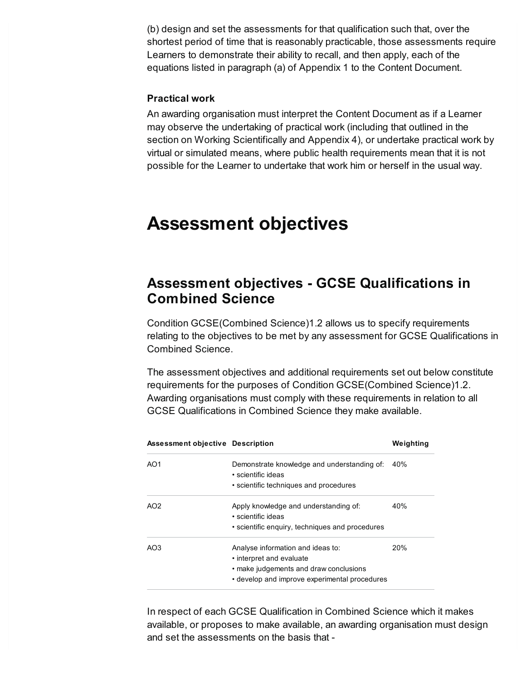(b) design and set the assessments for that qualification such that, over the shortest period of time that is reasonably practicable, those assessments require Learners to demonstrate their ability to recall, and then apply, each of the equations listed in paragraph (a) of Appendix 1 to the Content Document.

### **Practical work**

An awarding organisation must interpret the Content Document as if a Learner may observe the undertaking of practical work (including that outlined in the section on Working Scientifically and Appendix 4), or undertake practical work by virtual or simulated means, where public health requirements mean that it is not possible for the Learner to undertake that work him or herself in the usual way.

## <span id="page-5-0"></span>**Assessment objectives**

## **Assessment objectives - GCSE Qualifications in Combined Science**

Condition GCSE(Combined Science)1.2 allows us to specify requirements relating to the objectives to be met by any assessment for GCSE Qualifications in Combined Science.

The assessment objectives and additional requirements set out below constitute requirements for the purposes of Condition GCSE(Combined Science)1.2. Awarding organisations must comply with these requirements in relation to all GCSE Qualifications in Combined Science they make available.

| Assessment objective Description |                                                                                                         | Weighting |
|----------------------------------|---------------------------------------------------------------------------------------------------------|-----------|
| AO1                              | Demonstrate knowledge and understanding of:<br>• scientific ideas                                       | 40%       |
|                                  | • scientific techniques and procedures                                                                  |           |
| AO <sub>2</sub>                  | Apply knowledge and understanding of:<br>• scientific ideas                                             | 40%       |
|                                  | • scientific enquiry, techniques and procedures                                                         |           |
| AO3                              | Analyse information and ideas to:<br>• interpret and evaluate<br>• make judgements and draw conclusions | 20%       |
|                                  | • develop and improve experimental procedures                                                           |           |

In respect of each GCSE Qualification in Combined Science which it makes available, or proposes to make available, an awarding organisation must design and set the assessments on the basis that -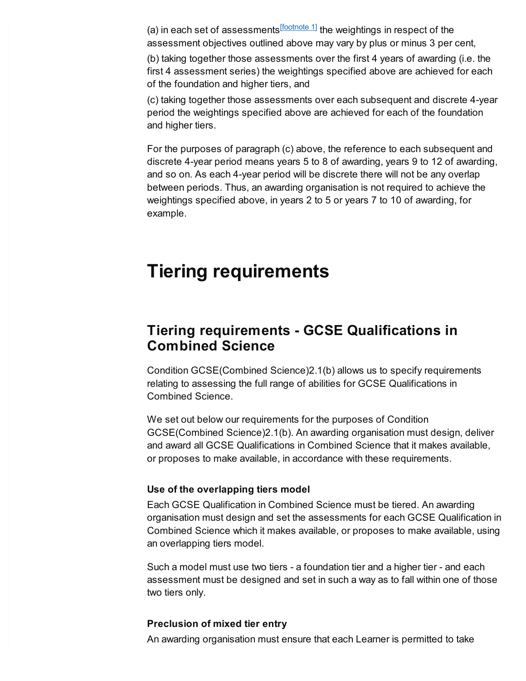<span id="page-6-1"></span>(a) in each set of assessments<sup>[\[footnote](#page-10-0) 1]</sup> the weightings in respect of the assessment objectives outlined above may vary by plus or minus 3 per cent,

(b) taking together those assessments over the first 4 years of awarding (i.e. the first 4 assessment series) the weightings specified above are achieved for each of the foundation and higher tiers, and

(c) taking together those assessments over each subsequent and discrete 4-year period the weightings specified above are achieved for each of the foundation and higher tiers.

For the purposes of paragraph (c) above, the reference to each subsequent and discrete 4-year period means years 5 to 8 of awarding, years 9 to 12 of awarding, and so on. As each 4-year period will be discrete there will not be any overlap between periods. Thus, an awarding organisation is not required to achieve the weightings specified above, in years 2 to 5 or years 7 to 10 of awarding, for example.

## <span id="page-6-0"></span>**Tiering requirements**

## **Tiering requirements - GCSE Qualifications in Combined Science**

Condition GCSE(Combined Science)2.1(b) allows us to specify requirements relating to assessing the full range of abilities for GCSE Qualifications in Combined Science.

We set out below our requirements for the purposes of Condition GCSE(Combined Science)2.1(b). An awarding organisation must design, deliver and award all GCSE Qualifications in Combined Science that it makes available, or proposes to make available, in accordance with these requirements.

### **Use of the overlapping tiers model**

Each GCSE Qualification in Combined Science must be tiered. An awarding organisation must design and set the assessments for each GCSE Qualification in Combined Science which it makes available, or proposes to make available, using an overlapping tiers model.

Such a model must use two tiers - a foundation tier and a higher tier - and each assessment must be designed and set in such a way as to fall within one of those two tiers only.

#### **Preclusion of mixed tier entry**

An awarding organisation must ensure that each Learner is permitted to take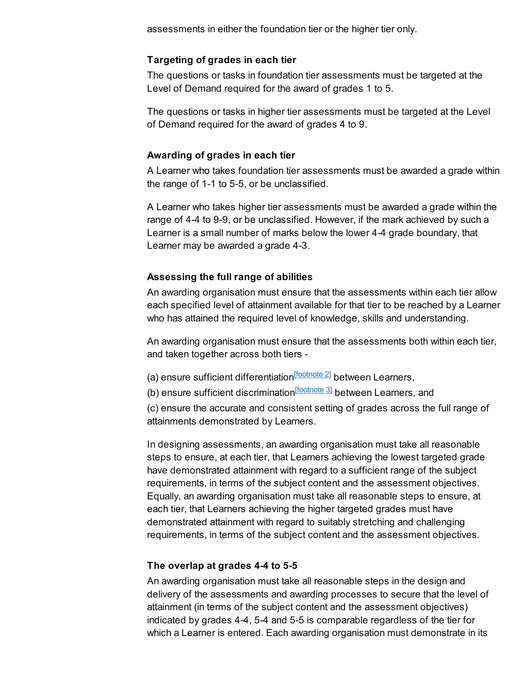assessments in either the foundation tier or the higher tier only.

### **Targeting of grades in each tier**

The questions or tasks in foundation tier assessments must be targeted at the Level of Demand required for the award of grades 1 to 5.

The questions or tasks in higher tier assessments must be targeted at the Level of Demand required for the award of grades 4 to 9.

#### **Awarding of grades in each tier**

A Learner who takes foundation tier assessments must be awarded a grade within the range of 1-1 to 5-5, or be unclassified.

A Learner who takes higher tier assessments must be awarded a grade within the range of 4-4 to 9-9, or be unclassified. However, if the mark achieved by such a Learner is a small number of marks below the lower 4-4 grade boundary, that Learner may be awarded a grade 4-3.

#### **Assessing the full range of abilities**

An awarding organisation must ensure that the assessments within each tier allow each specified level of attainment available for that tier to be reached by a Learner who has attained the required level of knowledge, skills and understanding.

An awarding organisation must ensure that the assessments both within each tier, and taken together across both tiers -

<span id="page-7-0"></span>(a) ensure sufficient differentiation<sup>[\[footnote](#page-10-1) 2]</sup> between Learners,

<span id="page-7-1"></span>(b) ensure sufficient discrimination<sup>[\[footnote](#page-10-2) 3]</sup> between Learners, and

(c) ensure the accurate and consistent setting of grades across the full range of attainments demonstrated by Learners.

In designing assessments, an awarding organisation must take all reasonable steps to ensure, at each tier, that Learners achieving the lowest targeted grade have demonstrated attainment with regard to a sufficient range of the subject requirements, in terms of the subject content and the assessment objectives. Equally, an awarding organisation must take all reasonable steps to ensure, at each tier, that Learners achieving the higher targeted grades must have demonstrated attainment with regard to suitably stretching and challenging requirements, in terms of the subject content and the assessment objectives.

#### **The overlap at grades 4-4 to 5-5**

An awarding organisation must take all reasonable steps in the design and delivery of the assessments and awarding processes to secure that the level of attainment (in terms of the subject content and the assessment objectives) indicated by grades 4-4, 5-4 and 5-5 is comparable regardless of the tier for which a Learner is entered. Each awarding organisation must demonstrate in its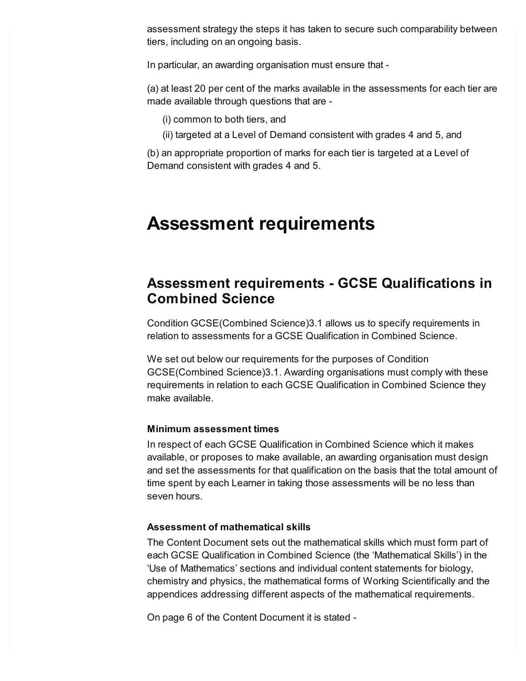assessment strategy the steps it has taken to secure such comparability between tiers, including on an ongoing basis.

In particular, an awarding organisation must ensure that -

(a) at least 20 per cent of the marks available in the assessments for each tier are made available through questions that are -

- (i) common to both tiers, and
- (ii) targeted at a Level of Demand consistent with grades 4 and 5, and

(b) an appropriate proportion of marks for each tier is targeted at a Level of Demand consistent with grades 4 and 5.

## <span id="page-8-0"></span>**Assessment requirements**

## **Assessment requirements - GCSE Qualifications in Combined Science**

Condition GCSE(Combined Science)3.1 allows us to specify requirements in relation to assessments for a GCSE Qualification in Combined Science.

We set out below our requirements for the purposes of Condition GCSE(Combined Science)3.1. Awarding organisations must comply with these requirements in relation to each GCSE Qualification in Combined Science they make available.

### **Minimum assessment times**

In respect of each GCSE Qualification in Combined Science which it makes available, or proposes to make available, an awarding organisation must design and set the assessments for that qualification on the basis that the total amount of time spent by each Learner in taking those assessments will be no less than seven hours.

### **Assessment of mathematical skills**

The Content Document sets out the mathematical skills which must form part of each GCSE Qualification in Combined Science (the 'Mathematical Skills') in the 'Use of Mathematics' sections and individual content statements for biology, chemistry and physics, the mathematical forms of Working Scientifically and the appendices addressing different aspects of the mathematical requirements.

On page 6 of the Content Document it is stated -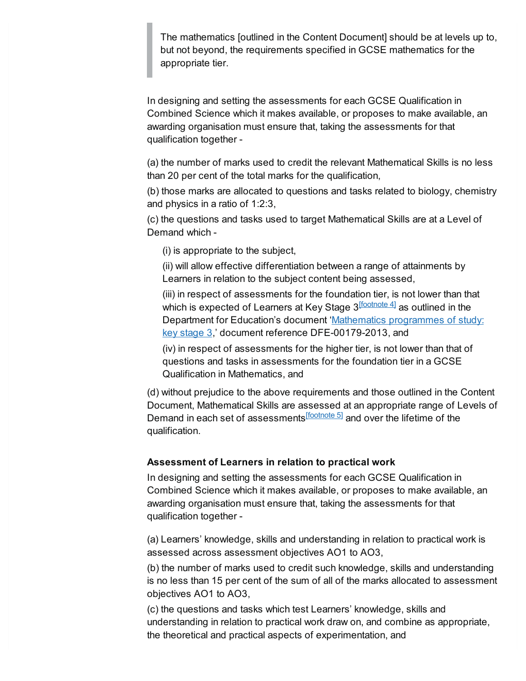The mathematics [outlined in the Content Document] should be at levels up to, but not beyond, the requirements specified in GCSE mathematics for the appropriate tier.

In designing and setting the assessments for each GCSE Qualification in Combined Science which it makes available, or proposes to make available, an awarding organisation must ensure that, taking the assessments for that qualification together -

(a) the number of marks used to credit the relevant Mathematical Skills is no less than 20 per cent of the total marks for the qualification,

(b) those marks are allocated to questions and tasks related to biology, chemistry and physics in a ratio of 1:2:3,

(c) the questions and tasks used to target Mathematical Skills are at a Level of Demand which -

(i) is appropriate to the subject,

(ii) will allow effective differentiation between a range of attainments by Learners in relation to the subject content being assessed,

<span id="page-9-0"></span>(iii) in respect of assessments for the foundation tier, is not lower than that which is expected of Learners at Key Stage 3 $^{\text{[foothote 4]}}$  as outlined in the Department for Education's document 'Mathematics programmes of study: key stage 3,' document reference [DFE-00179-2013,](https://www.gov.uk/government/publications/national-curriculum-in-england-mathematics-programmes-of-study) and

<span id="page-9-1"></span>(iv) in respect of assessments for the higher tier, is not lower than that of questions and tasks in assessments for the foundation tier in a GCSE Qualification in Mathematics, and

(d) without prejudice to the above requirements and those outlined in the Content Document, Mathematical Skills are assessed at an appropriate range of Levels of Demand in each set of assessments<sup>[\[footnote](#page-10-4) 5]</sup> and over the lifetime of the qualification.

### **Assessment of Learners in relation to practical work**

In designing and setting the assessments for each GCSE Qualification in Combined Science which it makes available, or proposes to make available, an awarding organisation must ensure that, taking the assessments for that qualification together -

(a) Learners' knowledge, skills and understanding in relation to practical work is assessed across assessment objectives AO1 to AO3,

(b) the number of marks used to credit such knowledge, skills and understanding is no less than 15 per cent of the sum of all of the marks allocated to assessment objectives AO1 to AO3,

(c) the questions and tasks which test Learners' knowledge, skills and understanding in relation to practical work draw on, and combine as appropriate, the theoretical and practical aspects of experimentation, and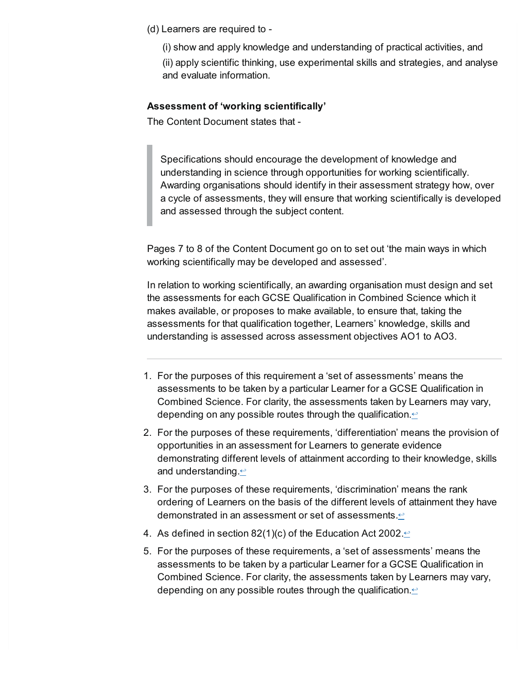(d) Learners are required to -

(i) show and apply knowledge and understanding of practical activities, and

(ii) apply scientific thinking, use experimental skills and strategies, and analyse and evaluate information.

### **Assessment of 'working scientifically'**

The Content Document states that -

Specifications should encourage the development of knowledge and understanding in science through opportunities for working scientifically. Awarding organisations should identify in their assessment strategy how, over a cycle of assessments, they will ensure that working scientifically is developed and assessed through the subject content.

Pages 7 to 8 of the Content Document go on to set out 'the main ways in which working scientifically may be developed and assessed'.

In relation to working scientifically, an awarding organisation must design and set the assessments for each GCSE Qualification in Combined Science which it makes available, or proposes to make available, to ensure that, taking the assessments for that qualification together, Learners' knowledge, skills and understanding is assessed across assessment objectives AO1 to AO3.

- <span id="page-10-0"></span>1. For the purposes of this requirement a 'set of assessments' means the assessments to be taken by a particular Learner for a GCSE Qualification in Combined Science. For clarity, the assessments taken by Learners may vary, depending on any possible routes through the qualification. $\leq$
- <span id="page-10-1"></span>2. For the purposes of these requirements, 'differentiation' means the provision of opportunities in an assessment for Learners to generate evidence demonstrating different levels of attainment according to their knowledge, skills and understanding. $\leq$
- <span id="page-10-2"></span>3. For the purposes of these requirements, 'discrimination' means the rank ordering of Learners on the basis of the different levels of attainment they have demonstrated in an assessment or set of assessments. $\leq$
- <span id="page-10-3"></span>4. As defined in section 82(1)(c) of the Education Act 2002. $\leq$
- <span id="page-10-4"></span>5. For the purposes of these requirements, a 'set of assessments' means the assessments to be taken by a particular Learner for a GCSE Qualification in Combined Science. For clarity, the assessments taken by Learners may vary, depending on any possible routes through the qualification. $\leq$